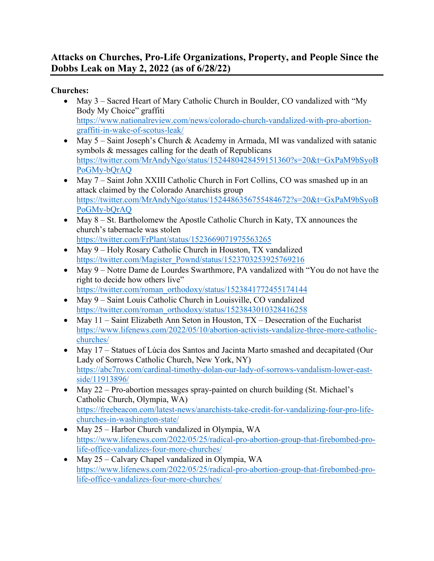## **Attacks on Churches, Pro-Life Organizations, Property, and People Since the Dobbs Leak on May 2, 2022 (as of 6/28/22)**

**Churches:**

- May 3 Sacred Heart of Mary Catholic Church in Boulder, CO vandalized with "My Body My Choice" graffiti [https://www.nationalreview.com/news/colorado-church-vandalized-with-pro-abortion](https://www.nationalreview.com/news/colorado-church-vandalized-with-pro-abortion-graffiti-in-wake-of-scotus-leak/)[graffiti-in-wake-of-scotus-leak/](https://www.nationalreview.com/news/colorado-church-vandalized-with-pro-abortion-graffiti-in-wake-of-scotus-leak/)
- May 5 Saint Joseph's Church & Academy in Armada, MI was vandalized with satanic symbols & messages calling for the death of Republicans [https://twitter.com/MrAndyNgo/status/1524480428459151360?s=20&t=GxPaM9bSyoB](https://twitter.com/MrAndyNgo/status/1524480428459151360?s=20&t=GxPaM9bSyoBPoGMy-bQrAQ) [PoGMy-bQrAQ](https://twitter.com/MrAndyNgo/status/1524480428459151360?s=20&t=GxPaM9bSyoBPoGMy-bQrAQ)
- May 7 Saint John XXIII Catholic Church in Fort Collins, CO was smashed up in an attack claimed by the Colorado Anarchists group [https://twitter.com/MrAndyNgo/status/1524486356755484672?s=20&t=GxPaM9bSyoB](https://twitter.com/MrAndyNgo/status/1524486356755484672?s=20&t=GxPaM9bSyoBPoGMy-bQrAQ) [PoGMy-bQrAQ](https://twitter.com/MrAndyNgo/status/1524486356755484672?s=20&t=GxPaM9bSyoBPoGMy-bQrAQ)
- May 8 St. Bartholomew the Apostle Catholic Church in Katy, TX announces the church's tabernacle was stolen <https://twitter.com/FrPlant/status/1523669071975563265>
- May 9 Holy Rosary Catholic Church in Houston, TX vandalized [https://twitter.com/Magister\\_Pownd/status/1523703253925769216](https://twitter.com/Magister_Pownd/status/1523703253925769216)
- May 9 Notre Dame de Lourdes Swarthmore, PA vandalized with "You do not have the right to decide how others live" [https://twitter.com/roman\\_orthodoxy/status/1523841772455174144](https://twitter.com/roman_orthodoxy/status/1523841772455174144)
- May 9 Saint Louis Catholic Church in Louisville, CO vandalized [https://twitter.com/roman\\_orthodoxy/status/1523843010328416258](https://twitter.com/roman_orthodoxy/status/1523843010328416258)
- May 11 Saint Elizabeth Ann Seton in Houston, TX Desecration of the Eucharist [https://www.lifenews.com/2022/05/10/abortion-activists-vandalize-three-more-catholic](https://www.lifenews.com/2022/05/10/abortion-activists-vandalize-three-more-catholic-churches/)[churches/](https://www.lifenews.com/2022/05/10/abortion-activists-vandalize-three-more-catholic-churches/)
- May 17 Statues of Lúcia dos Santos and Jacinta Marto smashed and decapitated (Our Lady of Sorrows Catholic Church, New York, NY) [https://abc7ny.com/cardinal-timothy-dolan-our-lady-of-sorrows-vandalism-lower-east](https://abc7ny.com/cardinal-timothy-dolan-our-lady-of-sorrows-vandalism-lower-east-side/11913896/)[side/11913896/](https://abc7ny.com/cardinal-timothy-dolan-our-lady-of-sorrows-vandalism-lower-east-side/11913896/)
- May 22 Pro-abortion messages spray-painted on church building (St. Michael's Catholic Church, Olympia, WA) [https://freebeacon.com/latest-news/anarchists-take-credit-for-vandalizing-four-pro-life](https://freebeacon.com/latest-news/anarchists-take-credit-for-vandalizing-four-pro-life-churches-in-washington-state/)[churches-in-washington-state/](https://freebeacon.com/latest-news/anarchists-take-credit-for-vandalizing-four-pro-life-churches-in-washington-state/)
- May 25 Harbor Church vandalized in Olympia, WA [https://www.lifenews.com/2022/05/25/radical-pro-abortion-group-that-firebombed-pro](https://www.lifenews.com/2022/05/25/radical-pro-abortion-group-that-firebombed-pro-life-office-vandalizes-four-more-churches/)[life-office-vandalizes-four-more-churches/](https://www.lifenews.com/2022/05/25/radical-pro-abortion-group-that-firebombed-pro-life-office-vandalizes-four-more-churches/)
- May 25 Calvary Chapel vandalized in Olympia, WA [https://www.lifenews.com/2022/05/25/radical-pro-abortion-group-that-firebombed-pro](https://www.lifenews.com/2022/05/25/radical-pro-abortion-group-that-firebombed-pro-life-office-vandalizes-four-more-churches/)[life-office-vandalizes-four-more-churches/](https://www.lifenews.com/2022/05/25/radical-pro-abortion-group-that-firebombed-pro-life-office-vandalizes-four-more-churches/)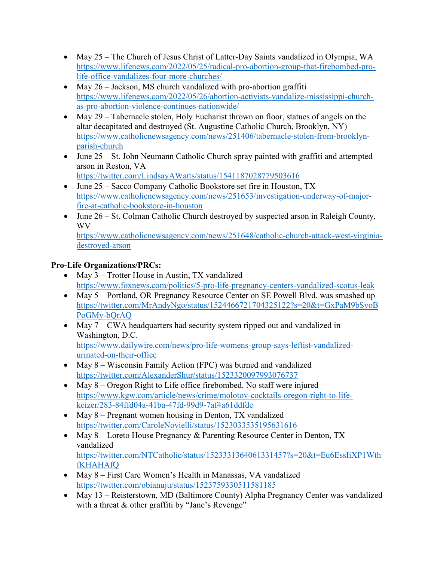- May 25 The Church of Jesus Christ of Latter-Day Saints vandalized in Olympia, WA [https://www.lifenews.com/2022/05/25/radical-pro-abortion-group-that-firebombed-pro](https://www.lifenews.com/2022/05/25/radical-pro-abortion-group-that-firebombed-pro-life-office-vandalizes-four-more-churches/)[life-office-vandalizes-four-more-churches/](https://www.lifenews.com/2022/05/25/radical-pro-abortion-group-that-firebombed-pro-life-office-vandalizes-four-more-churches/)
- May 26 Jackson, MS church vandalized with pro-abortion graffiti [https://www.lifenews.com/2022/05/26/abortion-activists-vandalize-mississippi-church](https://www.lifenews.com/2022/05/26/abortion-activists-vandalize-mississippi-church-as-pro-abortion-violence-continues-nationwide/)[as-pro-abortion-violence-continues-nationwide/](https://www.lifenews.com/2022/05/26/abortion-activists-vandalize-mississippi-church-as-pro-abortion-violence-continues-nationwide/)
- May 29 Tabernacle stolen, Holy Eucharist thrown on floor, statues of angels on the altar decapitated and destroyed (St. Augustine Catholic Church, Brooklyn, NY) [https://www.catholicnewsagency.com/news/251406/tabernacle-stolen-from-brooklyn](https://www.catholicnewsagency.com/news/251406/tabernacle-stolen-from-brooklyn-parish-church)[parish-church](https://www.catholicnewsagency.com/news/251406/tabernacle-stolen-from-brooklyn-parish-church)
- June 25 St. John Neumann Catholic Church spray painted with graffiti and attempted arson in Reston, VA <https://twitter.com/LindsayAWatts/status/1541187028779503616>
- June 25 Sacco Company Catholic Bookstore set fire in Houston, TX [https://www.catholicnewsagency.com/news/251653/investigation-underway-of-major](https://www.catholicnewsagency.com/news/251653/investigation-underway-of-major-fire-at-catholic-bookstore-in-houston)[fire-at-catholic-bookstore-in-houston](https://www.catholicnewsagency.com/news/251653/investigation-underway-of-major-fire-at-catholic-bookstore-in-houston)
- June 26 St. Colman Catholic Church destroyed by suspected arson in Raleigh County, WV

[https://www.catholicnewsagency.com/news/251648/catholic-church-attack-west-virginia](https://www.catholicnewsagency.com/news/251648/catholic-church-attack-west-virginia-destroyed-arson)[destroyed-arson](https://www.catholicnewsagency.com/news/251648/catholic-church-attack-west-virginia-destroyed-arson) 

## **Pro-Life Organizations/PRCs:**

- May 3 Trotter House in Austin, TX vandalized <https://www.foxnews.com/politics/5-pro-life-pregnancy-centers-vandalized-scotus-leak>
- May 5 Portland, OR Pregnancy Resource Center on SE Powell Blvd. was smashed up [https://twitter.com/MrAndyNgo/status/1524466721704325122?s=20&t=GxPaM9bSyoB](https://twitter.com/MrAndyNgo/status/1524466721704325122?s=20&t=GxPaM9bSyoBPoGMy-bQrAQ) [PoGMy-bQrAQ](https://twitter.com/MrAndyNgo/status/1524466721704325122?s=20&t=GxPaM9bSyoBPoGMy-bQrAQ)
- May 7 CWA headquarters had security system ripped out and vandalized in Washington, D.C. [https://www.dailywire.com/news/pro-life-womens-group-says-leftist-vandalized](https://www.dailywire.com/news/pro-life-womens-group-says-leftist-vandalized-urinated-on-their-office)[urinated-on-their-office](https://www.dailywire.com/news/pro-life-womens-group-says-leftist-vandalized-urinated-on-their-office)
- May 8 Wisconsin Family Action (FPC) was burned and vandalized <https://twitter.com/AlexanderShur/status/1523320097993076737>
- May 8 Oregon Right to Life office firebombed. No staff were injured [https://www.kgw.com/article/news/crime/molotov-cocktails-oregon-right-to-life](https://www.kgw.com/article/news/crime/molotov-cocktails-oregon-right-to-life-keizer/283-84ffd04a-41ba-47fd-99d9-7af4a61ddfde)[keizer/283-84ffd04a-41ba-47fd-99d9-7af4a61ddfde](https://www.kgw.com/article/news/crime/molotov-cocktails-oregon-right-to-life-keizer/283-84ffd04a-41ba-47fd-99d9-7af4a61ddfde)
- May 8 Pregnant women housing in Denton, TX vandalized <https://twitter.com/CaroleNovielli/status/1523033535195631616>
- May 8 Loreto House Pregnancy & Parenting Resource Center in Denton, TX vandalized [https://twitter.com/NTCatholic/status/1523331364061331457?s=20&t=Eu6EssIiXP1Wth](https://twitter.com/NTCatholic/status/1523331364061331457?s=20&t=Eu6EssIiXP1WthfKHAHAfQ) [fKHAHAfQ](https://twitter.com/NTCatholic/status/1523331364061331457?s=20&t=Eu6EssIiXP1WthfKHAHAfQ)
- May 8 First Care Women's Health in Manassas, VA vandalized <https://twitter.com/obianuju/status/1523759330511581185>
- May 13 Reisterstown, MD (Baltimore County) Alpha Pregnancy Center was vandalized with a threat & other graffiti by "Jane's Revenge"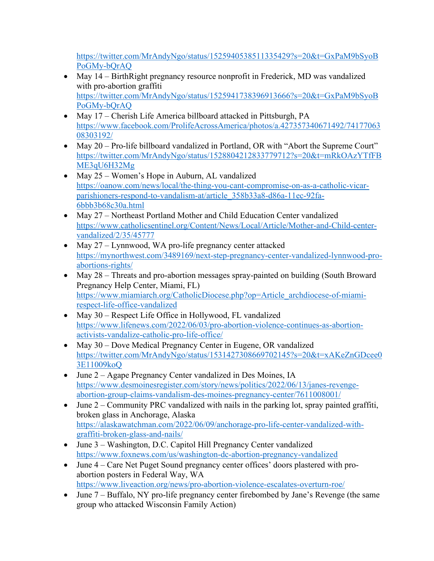[https://twitter.com/MrAndyNgo/status/1525940538511335429?s=20&t=GxPaM9bSyoB](https://twitter.com/MrAndyNgo/status/1525940538511335429?s=20&t=GxPaM9bSyoBPoGMy-bQrAQ) [PoGMy-bQrAQ](https://twitter.com/MrAndyNgo/status/1525940538511335429?s=20&t=GxPaM9bSyoBPoGMy-bQrAQ) 

- May 14 BirthRight pregnancy resource nonprofit in Frederick, MD was vandalized with pro-abortion graffiti [https://twitter.com/MrAndyNgo/status/1525941738396913666?s=20&t=GxPaM9bSyoB](https://twitter.com/MrAndyNgo/status/1525941738396913666?s=20&t=GxPaM9bSyoBPoGMy-bQrAQ) [PoGMy-bQrAQ](https://twitter.com/MrAndyNgo/status/1525941738396913666?s=20&t=GxPaM9bSyoBPoGMy-bQrAQ)
- May 17 Cherish Life America billboard attacked in Pittsburgh, PA [https://www.facebook.com/ProlifeAcrossAmerica/photos/a.427357340671492/74177063](https://www.facebook.com/ProlifeAcrossAmerica/photos/a.427357340671492/7417706308303192/) [08303192/](https://www.facebook.com/ProlifeAcrossAmerica/photos/a.427357340671492/7417706308303192/)
- May 20 Pro-life billboard vandalized in Portland, OR with "Abort the Supreme Court" [https://twitter.com/MrAndyNgo/status/1528804212833779712?s=20&t=mRkOAzYTfFB](https://twitter.com/MrAndyNgo/status/1528804212833779712?s=20&t=mRkOAzYTfFBME3qU6H32Mg) [ME3qU6H32Mg](https://twitter.com/MrAndyNgo/status/1528804212833779712?s=20&t=mRkOAzYTfFBME3qU6H32Mg)
- May 25 Women's Hope in Auburn, AL vandalized [https://oanow.com/news/local/the-thing-you-cant-compromise-on-as-a-catholic-vicar](https://oanow.com/news/local/the-thing-you-cant-compromise-on-as-a-catholic-vicar-parishioners-respond-to-vandalism-at/article_358b33a8-d86a-11ec-92fa-6bbb3b68c30a.html)[parishioners-respond-to-vandalism-at/article\\_358b33a8-d86a-11ec-92fa-](https://oanow.com/news/local/the-thing-you-cant-compromise-on-as-a-catholic-vicar-parishioners-respond-to-vandalism-at/article_358b33a8-d86a-11ec-92fa-6bbb3b68c30a.html)[6bbb3b68c30a.html](https://oanow.com/news/local/the-thing-you-cant-compromise-on-as-a-catholic-vicar-parishioners-respond-to-vandalism-at/article_358b33a8-d86a-11ec-92fa-6bbb3b68c30a.html)
- May 27 Northeast Portland Mother and Child Education Center vandalized [https://www.catholicsentinel.org/Content/News/Local/Article/Mother-and-Child-center](https://www.catholicsentinel.org/Content/News/Local/Article/Mother-and-Child-center-vandalized/2/35/45777)[vandalized/2/35/45777](https://www.catholicsentinel.org/Content/News/Local/Article/Mother-and-Child-center-vandalized/2/35/45777)
- May 27 Lynnwood, WA pro-life pregnancy center attacked [https://mynorthwest.com/3489169/next-step-pregnancy-center-vandalized-lynnwood-pro](https://mynorthwest.com/3489169/next-step-pregnancy-center-vandalized-lynnwood-pro-abortions-rights/)[abortions-rights/](https://mynorthwest.com/3489169/next-step-pregnancy-center-vandalized-lynnwood-pro-abortions-rights/)
- May 28 Threats and pro-abortion messages spray-painted on building (South Broward Pregnancy Help Center, Miami, FL) [https://www.miamiarch.org/CatholicDiocese.php?op=Article\\_archdiocese-of-miami](https://www.miamiarch.org/CatholicDiocese.php?op=Article_archdiocese-of-miami-respect-life-office-vandalized)[respect-life-office-vandalized](https://www.miamiarch.org/CatholicDiocese.php?op=Article_archdiocese-of-miami-respect-life-office-vandalized)
- May 30 Respect Life Office in Hollywood, FL vandalized [https://www.lifenews.com/2022/06/03/pro-abortion-violence-continues-as-abortion](https://www.lifenews.com/2022/06/03/pro-abortion-violence-continues-as-abortion-activists-vandalize-catholic-pro-life-office/)[activists-vandalize-catholic-pro-life-office/](https://www.lifenews.com/2022/06/03/pro-abortion-violence-continues-as-abortion-activists-vandalize-catholic-pro-life-office/)
- May 30 Dove Medical Pregnancy Center in Eugene, OR vandalized [https://twitter.com/MrAndyNgo/status/1531427308669702145?s=20&t=xAKeZnGDcee0](https://twitter.com/MrAndyNgo/status/1531427308669702145?s=20&t=xAKeZnGDcee03E11009koQ) [3E11009koQ](https://twitter.com/MrAndyNgo/status/1531427308669702145?s=20&t=xAKeZnGDcee03E11009koQ)
- June 2 Agape Pregnancy Center vandalized in Des Moines, IA [https://www.desmoinesregister.com/story/news/politics/2022/06/13/janes-revenge](https://www.desmoinesregister.com/story/news/politics/2022/06/13/janes-revenge-abortion-group-claims-vandalism-des-moines-pregnancy-center/7611008001/)[abortion-group-claims-vandalism-des-moines-pregnancy-center/7611008001/](https://www.desmoinesregister.com/story/news/politics/2022/06/13/janes-revenge-abortion-group-claims-vandalism-des-moines-pregnancy-center/7611008001/)
- June  $2 -$  Community PRC vandalized with nails in the parking lot, spray painted graffiti, broken glass in Anchorage, Alaska [https://alaskawatchman.com/2022/06/09/anchorage-pro-life-center-vandalized-with](https://alaskawatchman.com/2022/06/09/anchorage-pro-life-center-vandalized-with-graffiti-broken-glass-and-nails/)[graffiti-broken-glass-and-nails/](https://alaskawatchman.com/2022/06/09/anchorage-pro-life-center-vandalized-with-graffiti-broken-glass-and-nails/)
- June 3 Washington, D.C. Capitol Hill Pregnancy Center vandalized <https://www.foxnews.com/us/washington-dc-abortion-pregnancy-vandalized>
- June 4 Care Net Puget Sound pregnancy center offices' doors plastered with proabortion posters in Federal Way, WA <https://www.liveaction.org/news/pro-abortion-violence-escalates-overturn-roe/>
- June 7 Buffalo, NY pro-life pregnancy center firebombed by Jane's Revenge (the same group who attacked Wisconsin Family Action)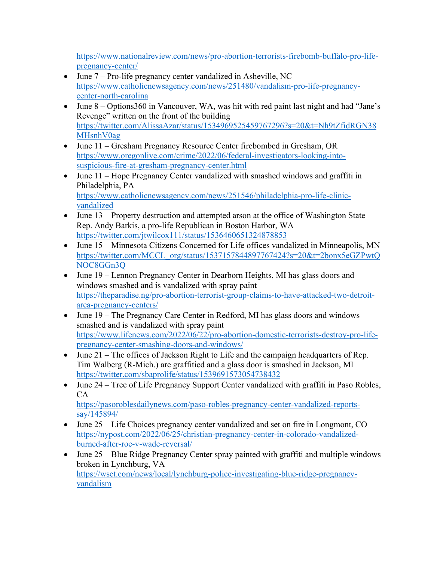[https://www.nationalreview.com/news/pro-abortion-terrorists-firebomb-buffalo-pro-life](https://www.nationalreview.com/news/pro-abortion-terrorists-firebomb-buffalo-pro-life-pregnancy-center/)[pregnancy-center/](https://www.nationalreview.com/news/pro-abortion-terrorists-firebomb-buffalo-pro-life-pregnancy-center/) 

- June 7 Pro-life pregnancy center vandalized in Asheville, NC [https://www.catholicnewsagency.com/news/251480/vandalism-pro-life-pregnancy](https://www.catholicnewsagency.com/news/251480/vandalism-pro-life-pregnancy-center-north-carolina)[center-north-carolina](https://www.catholicnewsagency.com/news/251480/vandalism-pro-life-pregnancy-center-north-carolina)
- June 8 Options 360 in Vancouver, WA, was hit with red paint last night and had "Jane's Revenge" written on the front of the building [https://twitter.com/AlissaAzar/status/1534969525459767296?s=20&t=Nh9tZfidRGN38](https://twitter.com/AlissaAzar/status/1534969525459767296?s=20&t=Nh9tZfidRGN38MHsnhV0ag) [MHsnhV0ag](https://twitter.com/AlissaAzar/status/1534969525459767296?s=20&t=Nh9tZfidRGN38MHsnhV0ag)
- June 11 Gresham Pregnancy Resource Center firebombed in Gresham, OR [https://www.oregonlive.com/crime/2022/06/federal-investigators-looking-into](https://www.oregonlive.com/crime/2022/06/federal-investigators-looking-into-suspicious-fire-at-gresham-pregnancy-center.html)[suspicious-fire-at-gresham-pregnancy-center.html](https://www.oregonlive.com/crime/2022/06/federal-investigators-looking-into-suspicious-fire-at-gresham-pregnancy-center.html)
- June 11 Hope Pregnancy Center vandalized with smashed windows and graffiti in Philadelphia, PA [https://www.catholicnewsagency.com/news/251546/philadelphia-pro-life-clinic](https://www.catholicnewsagency.com/news/251546/philadelphia-pro-life-clinic-vandalized)[vandalized](https://www.catholicnewsagency.com/news/251546/philadelphia-pro-life-clinic-vandalized)
- June 13 Property destruction and attempted arson at the office of Washington State Rep. Andy Barkis, a pro-life Republican in Boston Harbor, WA <https://twitter.com/jtwilcox111/status/1536460651324878853>
- June 15 Minnesota Citizens Concerned for Life offices vandalized in Minneapolis, MN [https://twitter.com/MCCL\\_org/status/1537157844897767424?s=20&t=2bonx5eGZPwtQ](https://twitter.com/MCCL_org/status/1537157844897767424?s=20&t=2bonx5eGZPwtQNOC8GGn3Q) [NOC8GGn3Q](https://twitter.com/MCCL_org/status/1537157844897767424?s=20&t=2bonx5eGZPwtQNOC8GGn3Q)
- June 19 Lennon Pregnancy Center in Dearborn Heights, MI has glass doors and windows smashed and is vandalized with spray paint [https://theparadise.ng/pro-abortion-terrorist-group-claims-to-have-attacked-two-detroit](https://theparadise.ng/pro-abortion-terrorist-group-claims-to-have-attacked-two-detroit-area-pregnancy-centers/)[area-pregnancy-centers/](https://theparadise.ng/pro-abortion-terrorist-group-claims-to-have-attacked-two-detroit-area-pregnancy-centers/)
- June 19 The Pregnancy Care Center in Redford, MI has glass doors and windows smashed and is vandalized with spray paint [https://www.lifenews.com/2022/06/22/pro-abortion-domestic-terrorists-destroy-pro-life](https://www.lifenews.com/2022/06/22/pro-abortion-domestic-terrorists-destroy-pro-life-pregnancy-center-smashing-doors-and-windows/)[pregnancy-center-smashing-doors-and-windows/](https://www.lifenews.com/2022/06/22/pro-abortion-domestic-terrorists-destroy-pro-life-pregnancy-center-smashing-doors-and-windows/)
- June 21 The offices of Jackson Right to Life and the campaign headquarters of Rep. Tim Walberg (R-Mich.) are graffitied and a glass door is smashed in Jackson, MI <https://twitter.com/sbaprolife/status/1539691573054738432>
- June 24 Tree of Life Pregnancy Support Center vandalized with graffiti in Paso Robles, CA [https://pasoroblesdailynews.com/paso-robles-pregnancy-center-vandalized-reports](https://pasoroblesdailynews.com/paso-robles-pregnancy-center-vandalized-reports-say/145894/)
	- [say/145894/](https://pasoroblesdailynews.com/paso-robles-pregnancy-center-vandalized-reports-say/145894/)
- June 25 Life Choices pregnancy center vandalized and set on fire in Longmont, CO [https://nypost.com/2022/06/25/christian-pregnancy-center-in-colorado-vandalized](https://nypost.com/2022/06/25/christian-pregnancy-center-in-colorado-vandalized-burned-after-roe-v-wade-reversal/)[burned-after-roe-v-wade-reversal/](https://nypost.com/2022/06/25/christian-pregnancy-center-in-colorado-vandalized-burned-after-roe-v-wade-reversal/)
- June 25 Blue Ridge Pregnancy Center spray painted with graffiti and multiple windows broken in Lynchburg, VA [https://wset.com/news/local/lynchburg-police-investigating-blue-ridge-pregnancy](https://wset.com/news/local/lynchburg-police-investigating-blue-ridge-pregnancy-vandalism)[vandalism](https://wset.com/news/local/lynchburg-police-investigating-blue-ridge-pregnancy-vandalism)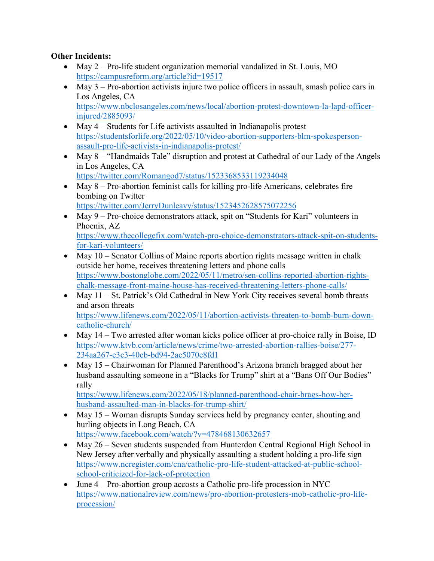## **Other Incidents:**

- May 2 Pro-life student organization memorial vandalized in St. Louis, MO <https://campusreform.org/article?id=19517>
- May  $3$  Pro-abortion activists injure two police officers in assault, smash police cars in Los Angeles, CA [https://www.nbclosangeles.com/news/local/abortion-protest-downtown-la-lapd-officer](https://www.nbclosangeles.com/news/local/abortion-protest-downtown-la-lapd-officer-injured/2885093/)[injured/2885093/](https://www.nbclosangeles.com/news/local/abortion-protest-downtown-la-lapd-officer-injured/2885093/)
- May 4 Students for Life activists assaulted in Indianapolis protest [https://studentsforlife.org/2022/05/10/video-abortion-supporters-blm-spokesperson](https://studentsforlife.org/2022/05/10/video-abortion-supporters-blm-spokesperson-assault-pro-life-activists-in-indianapolis-protest/)[assault-pro-life-activists-in-indianapolis-protest/](https://studentsforlife.org/2022/05/10/video-abortion-supporters-blm-spokesperson-assault-pro-life-activists-in-indianapolis-protest/)
- May 8 "Handmaids Tale" disruption and protest at Cathedral of our Lady of the Angels in Los Angeles, CA <https://twitter.com/Romangod7/status/1523368533119234048>
- May  $8 -$  Pro-abortion feminist calls for killing pro-life Americans, celebrates fire bombing on Twitter

<https://twitter.com/JerryDunleavy/status/1523452628575072256>

- May 9 Pro-choice demonstrators attack, spit on "Students for Kari" volunteers in Phoenix, AZ [https://www.thecollegefix.com/watch-pro-choice-demonstrators-attack-spit-on-students](https://www.thecollegefix.com/watch-pro-choice-demonstrators-attack-spit-on-students-for-kari-volunteers/)[for-kari-volunteers/](https://www.thecollegefix.com/watch-pro-choice-demonstrators-attack-spit-on-students-for-kari-volunteers/)
- May 10 Senator Collins of Maine reports abortion rights message written in chalk outside her home, receives threatening letters and phone calls [https://www.bostonglobe.com/2022/05/11/metro/sen-collins-reported-abortion-rights](https://www.bostonglobe.com/2022/05/11/metro/sen-collins-reported-abortion-rights-chalk-message-front-maine-house-has-received-threatening-letters-phone-calls/)[chalk-message-front-maine-house-has-received-threatening-letters-phone-calls/](https://www.bostonglobe.com/2022/05/11/metro/sen-collins-reported-abortion-rights-chalk-message-front-maine-house-has-received-threatening-letters-phone-calls/)
- May 11 St. Patrick's Old Cathedral in New York City receives several bomb threats and arson threats [https://www.lifenews.com/2022/05/11/abortion-activists-threaten-to-bomb-burn-down](https://www.lifenews.com/2022/05/11/abortion-activists-threaten-to-bomb-burn-down-catholic-church/)[catholic-church/](https://www.lifenews.com/2022/05/11/abortion-activists-threaten-to-bomb-burn-down-catholic-church/)
- May 14 Two arrested after woman kicks police officer at pro-choice rally in Boise, ID [https://www.ktvb.com/article/news/crime/two-arrested-abortion-rallies-boise/277-](https://www.ktvb.com/article/news/crime/two-arrested-abortion-rallies-boise/277-234aa267-e3c3-40eb-bd94-2ac5070e8fd1) [234aa267-e3c3-40eb-bd94-2ac5070e8fd1](https://www.ktvb.com/article/news/crime/two-arrested-abortion-rallies-boise/277-234aa267-e3c3-40eb-bd94-2ac5070e8fd1)
- May 15 Chairwoman for Planned Parenthood's Arizona branch bragged about her husband assaulting someone in a "Blacks for Trump" shirt at a "Bans Off Our Bodies" rally

[https://www.lifenews.com/2022/05/18/planned-parenthood-chair-brags-how-her](https://www.lifenews.com/2022/05/18/planned-parenthood-chair-brags-how-her-husband-assaulted-man-in-blacks-for-trump-shirt/)[husband-assaulted-man-in-blacks-for-trump-shirt/](https://www.lifenews.com/2022/05/18/planned-parenthood-chair-brags-how-her-husband-assaulted-man-in-blacks-for-trump-shirt/)

- May 15 Woman disrupts Sunday services held by pregnancy center, shouting and hurling objects in Long Beach, CA <https://www.facebook.com/watch/?v=478468130632657>
- May 26 Seven students suspended from Hunterdon Central Regional High School in New Jersey after verbally and physically assaulting a student holding a pro-life sign [https://www.ncregister.com/cna/catholic-pro-life-student-attacked-at-public-school](https://www.ncregister.com/cna/catholic-pro-life-student-attacked-at-public-school-school-criticized-for-lack-of-protection)[school-criticized-for-lack-of-protection](https://www.ncregister.com/cna/catholic-pro-life-student-attacked-at-public-school-school-criticized-for-lack-of-protection)
- June  $4$  Pro-abortion group accosts a Catholic pro-life procession in NYC [https://www.nationalreview.com/news/pro-abortion-protesters-mob-catholic-pro-life](https://www.nationalreview.com/news/pro-abortion-protesters-mob-catholic-pro-life-procession/)[procession/](https://www.nationalreview.com/news/pro-abortion-protesters-mob-catholic-pro-life-procession/)